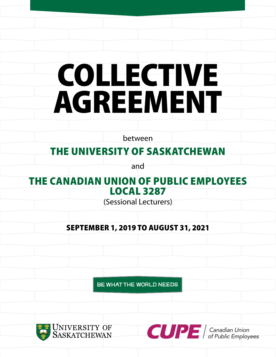# COLLECTIVE AGREEMENT

between

# THE UNIVERSITY OF SASKATCHEWAN

and

# THE CANADIAN UNION OF PUBLIC EMPLOYEES LOCAL 3287

(Sessional Lecturers)

# SEPTEMBER 1, 2019 TO AUGUST 31, 2021

BE WHAT THE WORLD NEEDS



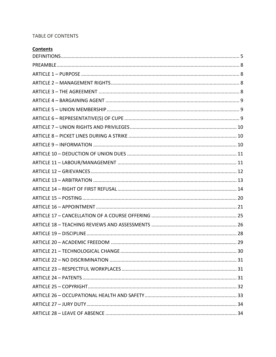# TABLE OF CONTENTS

| <b>Contents</b>     |  |  |
|---------------------|--|--|
| <b>BEEILIEIALIA</b> |  |  |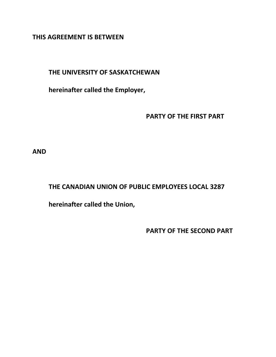**THIS AGREEMENT IS BETWEEN**

# **THE UNIVERSITY OF SASKATCHEWAN**

**hereinafter called the Employer,**

**PARTY OF THE FIRST PART**

**AND**

# **THE CANADIAN UNION OF PUBLIC EMPLOYEES LOCAL 3287**

**hereinafter called the Union,**

**PARTY OF THE SECOND PART**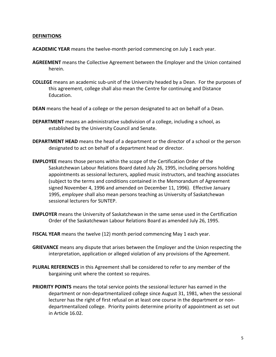#### <span id="page-4-0"></span>**DEFINITIONS**

- **ACADEMIC YEAR** means the twelve-month period commencing on July 1 each year.
- **AGREEMENT** means the Collective Agreement between the Employer and the Union contained herein.
- **COLLEGE** means an academic sub-unit of the University headed by a Dean. For the purposes of this agreement, college shall also mean the Centre for continuing and Distance Education.
- **DEAN** means the head of a college or the person designated to act on behalf of a Dean.
- **DEPARTMENT** means an administrative subdivision of a college, including a school, as established by the University Council and Senate.
- **DEPARTMENT HEAD** means the head of a department or the director of a school or the person designated to act on behalf of a department head or director.
- **EMPLOYEE** means those persons within the scope of the Certification Order of the Saskatchewan Labour Relations Board dated July 26, 1995, including persons holding appointments as sessional lecturers, applied music instructors, and teaching associates (subject to the terms and conditions contained in the Memorandum of Agreement signed November 4, 1996 and amended on December 11, 1996). Effective January 1995, *employee* shall also mean persons teaching as University of Saskatchewan sessional lecturers for SUNTEP.
- **EMPLOYER** means the University of Saskatchewan in the same sense used in the Certification Order of the Saskatchewan Labour Relations Board as amended July 26, 1995.
- **FISCAL YEAR** means the twelve (12) month period commencing May 1 each year.
- **GRIEVANCE** means any dispute that arises between the Employer and the Union respecting the interpretation, application or alleged violation of any provisions of the Agreement.
- **PLURAL REFERENCES** in this Agreement shall be considered to refer to any member of the bargaining unit where the context so requires.
- **PRIORITY POINTS** means the total service points the sessional lecturer has earned in the department or non-departmentalized college since August 31, 1981, when the sessional lecturer has the right of first refusal on at least one course in the department or nondepartmentalized college. Priority points determine priority of appointment as set out in Article 16.02.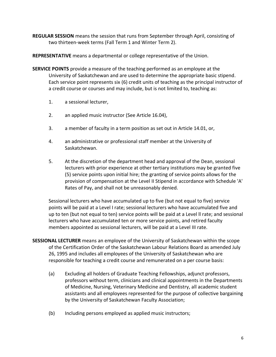**REGULAR SESSION** means the session that runs from September through April, consisting of two thirteen-week terms (Fall Term 1 and Winter Term 2).

**REPRESENTATIVE** means a departmental or college representative of the Union.

- **SERVICE POINTS** provide a measure of the teaching performed as an employee at the University of Saskatchewan and are used to determine the appropriate basic stipend. Each service point represents six (6) credit units of teaching as the principal instructor of a credit course or courses and may include, but is not limited to, teaching as:
	- 1. a sessional lecturer,
	- 2. an applied music instructor (See Article 16.04),
	- 3. a member of faculty in a term position as set out in Article 14.01, or,
	- 4. an administrative or professional staff member at the University of Saskatchewan.
	- 5. At the discretion of the department head and approval of the Dean, sessional lecturers with prior experience at other tertiary institutions may be granted five (5) service points upon initial hire; the granting of service points allows for the provision of compensation at the Level II Stipend in accordance with Schedule 'A' Rates of Pay, and shall not be unreasonably denied.

Sessional lecturers who have accumulated up to five (but not equal to five) service points will be paid at a Level I rate; sessional lecturers who have accumulated five and up to ten (but not equal to ten) service points will be paid at a Level ll rate; and sessional lecturers who have accumulated ten or more service points, and retired faculty members appointed as sessional lecturers, will be paid at a Level III rate.

- **SESSIONAL LECTURER** means an employee of the University of Saskatchewan within the scope of the Certification Order of the Saskatchewan Labour Relations Board as amended July 26, 1995 and includes all employees of the University of Saskatchewan who are responsible for teaching a credit course and remunerated on a per course basis:
	- (a) Excluding all holders of Graduate Teaching Fellowships, adjunct professors, professors without term, clinicians and clinical appointments in the Departments of Medicine, Nursing, Veterinary Medicine and Dentistry, all academic student assistants and all employees represented for the purpose of collective bargaining by the University of Saskatchewan Faculty Association;
	- (b) Including persons employed as applied music instructors;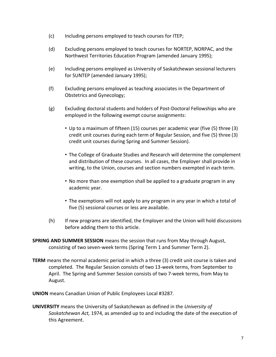- (c) Including persons employed to teach courses for ITEP;
- (d) Excluding persons employed to teach courses for NORTEP, NORPAC, and the Northwest Territories Education Program (amended January 1995);
- (e) Including persons employed as University of Saskatchewan sessional lecturers for SUNTEP (amended January 1995);
- (f) Excluding persons employed as teaching associates in the Department of Obstetrics and Gynecology;
- (g) Excluding doctoral students and holders of Post-Doctoral Fellowships who are employed in the following exempt course assignments:
	- Up to a maximum of fifteen (15) courses per academic year (five (5) three (3) credit unit courses during each term of Regular Session, and five (5) three (3) credit unit courses during Spring and Summer Session).
	- The College of Graduate Studies and Research will determine the complement and distribution of these courses. In all cases, the Employer shall provide in writing, to the Union, courses and section numbers exempted in each term.
	- No more than one exemption shall be applied to a graduate program in any academic year.
	- The exemptions will not apply to any program in any year in which a total of five (5) sessional courses or less are available.
- (h) If new programs are identified, the Employer and the Union will hold discussions before adding them to this article.
- **SPRING AND SUMMER SESSION** means the session that runs from May through August, consisting of two seven-week terms (Spring Term 1 and Summer Term 2).
- **TERM** means the normal academic period in which a three (3) credit unit course is taken and completed. The Regular Session consists of two 13-week terms, from September to April. The Spring and Summer Session consists of two 7-week terms, from May to August.

**UNION** means Canadian Union of Public Employees Local #3287.

**UNIVERSITY** means the University of Saskatchewan as defined in the *University of Saskatchewan Act,* 1974, as amended up to and including the date of the execution of this Agreement.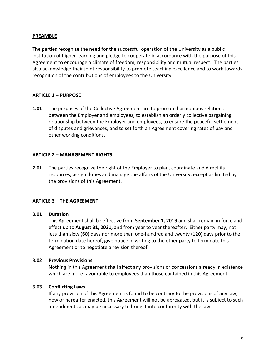#### <span id="page-7-0"></span>**PREAMBLE**

The parties recognize the need for the successful operation of the University as a public institution of higher learning and pledge to cooperate in accordance with the purpose of this Agreement to encourage a climate of freedom, responsibility and mutual respect. The parties also acknowledge their joint responsibility to promote teaching excellence and to work towards recognition of the contributions of employees to the University.

# <span id="page-7-1"></span>**ARTICLE 1 – PURPOSE**

**1.01** The purposes of the Collective Agreement are to promote harmonious relations between the Employer and employees, to establish an orderly collective bargaining relationship between the Employer and employees, to ensure the peaceful settlement of disputes and grievances, and to set forth an Agreement covering rates of pay and other working conditions.

# <span id="page-7-2"></span>**ARTICLE 2 – MANAGEMENT RIGHTS**

**2.01** The parties recognize the right of the Employer to plan, coordinate and direct its resources, assign duties and manage the affairs of the University, except as limited by the provisions of this Agreement.

# <span id="page-7-3"></span>**ARTICLE 3 – THE AGREEMENT**

#### **3.01 Duration**

This Agreement shall be effective from **September 1, 2019** and shall remain in force and effect up to **August 31, 2021,** and from year to year thereafter. Either party may, not less than sixty (60) days nor more than one-hundred and twenty (120) days prior to the termination date hereof, give notice in writing to the other party to terminate this Agreement or to negotiate a revision thereof.

#### **3.02 Previous Provisions**

Nothing in this Agreement shall affect any provisions or concessions already in existence which are more favourable to employees than those contained in this Agreement.

#### **3.03 Conflicting Laws**

If any provision of this Agreement is found to be contrary to the provisions of any law, now or hereafter enacted, this Agreement will not be abrogated, but it is subject to such amendments as may be necessary to bring it into conformity with the law.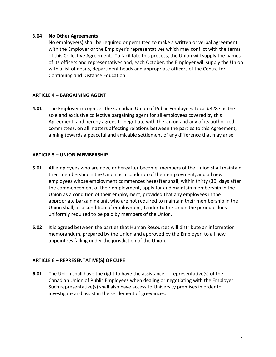#### **3.04 No Other Agreements**

No employee(s) shall be required or permitted to make a written or verbal agreement with the Employer or the Employer's representatives which may conflict with the terms of this Collective Agreement. To facilitate this process, the Union will supply the names of its officers and representatives and, each October, the Employer will supply the Union with a list of deans, department heads and appropriate officers of the Centre for Continuing and Distance Education.

# <span id="page-8-0"></span>**ARTICLE 4 – BARGAINING AGENT**

**4.01** The Employer recognizes the Canadian Union of Public Employees Local #3287 as the sole and exclusive collective bargaining agent for all employees covered by this Agreement, and hereby agrees to negotiate with the Union and any of its authorized committees, on all matters affecting relations between the parties to this Agreement, aiming towards a peaceful and amicable settlement of any difference that may arise.

## <span id="page-8-1"></span>**ARTICLE 5 – UNION MEMBERSHIP**

- **5.01** All employees who are now, or hereafter become, members of the Union shall maintain their membership in the Union as a condition of their employment, and all new employees whose employment commences hereafter shall, within thirty (30) days after the commencement of their employment, apply for and maintain membership in the Union as a condition of their employment, provided that any employees in the appropriate bargaining unit who are not required to maintain their membership in the Union shall, as a condition of employment, tender to the Union the periodic dues uniformly required to be paid by members of the Union.
- **5.02** It is agreed between the parties that Human Resources will distribute an information memorandum, prepared by the Union and approved by the Employer, to all new appointees falling under the jurisdiction of the Union.

#### <span id="page-8-2"></span>**ARTICLE 6 – REPRESENTATIVE(S) OF CUPE**

**6.01** The Union shall have the right to have the assistance of representative(s) of the Canadian Union of Public Employees when dealing or negotiating with the Employer. Such representative(s) shall also have access to University premises in order to investigate and assist in the settlement of grievances.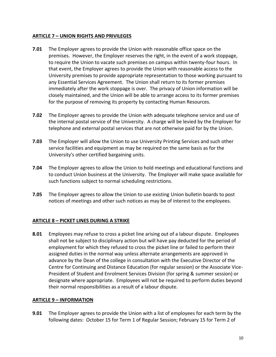## <span id="page-9-0"></span>**ARTICLE 7 – UNION RIGHTS AND PRIVILEGES**

- **7.01** The Employer agrees to provide the Union with reasonable office space on the premises. However, the Employer reserves the right, in the event of a work stoppage, to require the Union to vacate such premises on campus within twenty-four hours. In that event, the Employer agrees to provide the Union with reasonable access to the University premises to provide appropriate representation to those working pursuant to any Essential Services Agreement. The Union shall return to its former premises immediately after the work stoppage is over. The privacy of Union information will be closely maintained, and the Union will be able to arrange access to its former premises for the purpose of removing its property by contacting Human Resources.
- **7.02** The Employer agrees to provide the Union with adequate telephone service and use of the internal postal service of the University. A charge will be levied by the Employer for telephone and external postal services that are not otherwise paid for by the Union.
- **7.03** The Employer will allow the Union to use University Printing Services and such other service facilities and equipment as may be required on the same basis as for the University's other certified bargaining units.
- **7.04** The Employer agrees to allow the Union to hold meetings and educational functions and to conduct Union business at the University. The Employer will make space available for such functions subject to normal scheduling restrictions.
- **7.05** The Employer agrees to allow the Union to use existing Union bulletin boards to post notices of meetings and other such notices as may be of interest to the employees.

# <span id="page-9-1"></span>**ARTICLE 8 – PICKET LINES DURING A STRIKE**

**8.01** Employees may refuse to cross a picket line arising out of a labour dispute. Employees shall not be subject to disciplinary action but will have pay deducted for the period of employment for which they refused to cross the picket line or failed to perform their assigned duties in the normal way unless alternate arrangements are approved in advance by the Dean of the college in consultation with the Executive Director of the Centre for Continuing and Distance Education (for regular session) or the Associate Vice-President of Student and Enrolment Services Division (for spring & summer session) or designate where appropriate. Employees will not be required to perform duties beyond their normal responsibilities as a result of a labour dispute.

#### <span id="page-9-2"></span>**ARTICLE 9 – INFORMATION**

**9.01** The Employer agrees to provide the Union with a list of employees for each term by the following dates: October 15 for Term 1 of Regular Session; February 15 for Term 2 of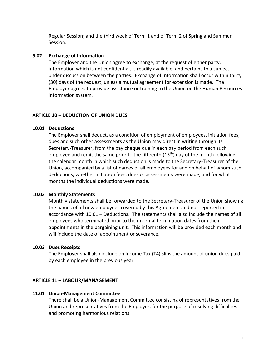Regular Session; and the third week of Term 1 and of Term 2 of Spring and Summer Session.

## **9.02 Exchange of Information**

The Employer and the Union agree to exchange, at the request of either party, information which is not confidential, is readily available, and pertains to a subject under discussion between the parties. Exchange of information shall occur within thirty (30) days of the request, unless a mutual agreement for extension is made. The Employer agrees to provide assistance or training to the Union on the Human Resources information system.

## <span id="page-10-0"></span>**ARTICLE 10 – DEDUCTION OF UNION DUES**

#### **10.01 Deductions**

The Employer shall deduct, as a condition of employment of employees, initiation fees, dues and such other assessments as the Union may direct in writing through its Secretary-Treasurer, from the pay cheque due in each pay period from each such employee and remit the same prior to the fifteenth  $(15<sup>th</sup>)$  day of the month following the calendar month in which such deduction is made to the Secretary-Treasurer of the Union, accompanied by a list of names of all employees for and on behalf of whom such deductions, whether initiation fees, dues or assessments were made, and for what months the individual deductions were made.

#### **10.02 Monthly Statements**

Monthly statements shall be forwarded to the Secretary-Treasurer of the Union showing the names of all new employees covered by this Agreement and not reported in accordance with 10.01 – Deductions. The statements shall also include the names of all employees who terminated prior to their normal termination dates from their appointments in the bargaining unit. This information will be provided each month and will include the date of appointment or severance.

#### **10.03 Dues Receipts**

The Employer shall also include on Income Tax (T4) slips the amount of union dues paid by each employee in the previous year.

# <span id="page-10-1"></span>**ARTICLE 11 – LABOUR/MANAGEMENT**

#### **11.01 Union-Management Committee**

There shall be a Union-Management Committee consisting of representatives from the Union and representatives from the Employer, for the purpose of resolving difficulties and promoting harmonious relations.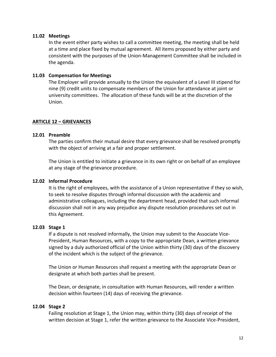#### **11.02 Meetings**

In the event either party wishes to call a committee meeting, the meeting shall be held at a time and place fixed by mutual agreement. All items proposed by either party and consistent with the purposes of the Union-Management Committee shall be included in the agenda.

#### **11.03 Compensation for Meetings**

The Employer will provide annually to the Union the equivalent of a Level III stipend for nine (9) credit units to compensate members of the Union for attendance at joint or university committees. The allocation of these funds will be at the discretion of the Union.

#### <span id="page-11-0"></span>**ARTICLE 12 – GRIEVANCES**

#### **12.01 Preamble**

The parties confirm their mutual desire that every grievance shall be resolved promptly with the object of arriving at a fair and proper settlement.

The Union is entitled to initiate a grievance in its own right or on behalf of an employee at any stage of the grievance procedure.

## **12.02 Informal Procedure**

It is the right of employees, with the assistance of a Union representative if they so wish, to seek to resolve disputes through informal discussion with the academic and administrative colleagues, including the department head, provided that such informal discussion shall not in any way prejudice any dispute resolution procedures set out in this Agreement.

#### **12.03 Stage 1**

If a dispute is not resolved informally, the Union may submit to the Associate Vice-President, Human Resources, with a copy to the appropriate Dean, a written grievance signed by a duly authorized official of the Union within thirty (30) days of the discovery of the incident which is the subject of the grievance.

The Union or Human Resources shall request a meeting with the appropriate Dean or designate at which both parties shall be present.

The Dean, or designate, in consultation with Human Resources, will render a written decision within fourteen (14) days of receiving the grievance.

#### **12.04 Stage 2**

Failing resolution at Stage 1, the Union may, within thirty (30) days of receipt of the written decision at Stage 1, refer the written grievance to the Associate Vice-President,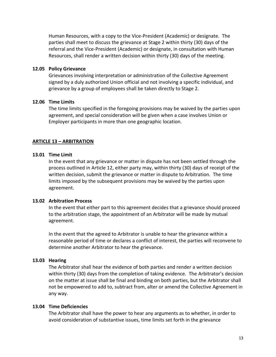Human Resources, with a copy to the Vice-President (Academic) or designate. The parties shall meet to discuss the grievance at Stage 2 within thirty (30) days of the referral and the Vice-President (Academic) or designate, in consultation with Human Resources, shall render a written decision within thirty (30) days of the meeting.

#### **12.05 Policy Grievance**

Grievances involving interpretation or administration of the Collective Agreement signed by a duly authorized Union official and not involving a specific individual, and grievance by a group of employees shall be taken directly to Stage 2.

#### **12.06 Time Limits**

The time limits specified in the foregoing provisions may be waived by the parties upon agreement, and special consideration will be given when a case involves Union or Employer participants in more than one geographic location.

#### <span id="page-12-0"></span>**ARTICLE 13 – ARBITRATION**

#### **13.01 Time Limit**

In the event that any grievance or matter in dispute has not been settled through the process outlined in Article 12, either party may, within thirty (30) days of receipt of the written decision, submit the grievance or matter in dispute to Arbitration. The time limits imposed by the subsequent provisions may be waived by the parties upon agreement.

#### **13.02 Arbitration Process**

In the event that either part to this agreement decides that a grievance should proceed to the arbitration stage, the appointment of an Arbitrator will be made by mutual agreement.

In the event that the agreed to Arbitrator is unable to hear the grievance within a reasonable period of time or declares a conflict of interest, the parties will reconvene to determine another Arbitrator to hear the grievance.

#### **13.03 Hearing**

The Arbitrator shall hear the evidence of both parties and render a written decision within thirty (30) days from the completion of taking evidence. The Arbitrator's decision on the matter at issue shall be final and binding on both parties, but the Arbitrator shall not be empowered to add to, subtract from, alter or amend the Collective Agreement in any way.

#### **13.04 Time Deficiencies**

The Arbitrator shall have the power to hear any arguments as to whether, in order to avoid consideration of substantive issues, time limits set forth in the grievance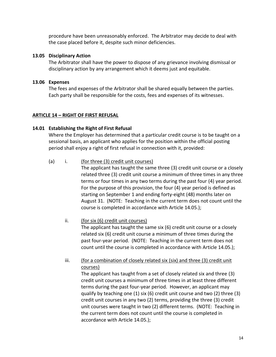procedure have been unreasonably enforced. The Arbitrator may decide to deal with the case placed before it, despite such minor deficiencies.

#### **13.05 Disciplinary Action**

The Arbitrator shall have the power to dispose of any grievance involving dismissal or disciplinary action by any arrangement which it deems just and equitable.

## **13.06 Expenses**

The fees and expenses of the Arbitrator shall be shared equally between the parties. Each party shall be responsible for the costs, fees and expenses of its witnesses.

## <span id="page-13-0"></span>**ARTICLE 14 – RIGHT OF FIRST REFUSAL**

## **14.01 Establishing the Right of First Refusal**

Where the Employer has determined that a particular credit course is to be taught on a sessional basis, an applicant who applies for the position within the official posting period shall enjoy a right of first refusal in connection with it, provided:

## (a) i. (for three (3) credit unit courses)

The applicant has taught the same three (3) credit unit course or a closely related three (3) credit unit course a minimum of three times in any three terms or four times in any two terms during the past four (4) year period. For the purpose of this provision, the four (4) year period is defined as starting on September 1 and ending forty-eight (48) months later on August 31. (NOTE: Teaching in the current term does not count until the course is completed in accordance with Article 14.05.);

# ii. (for six (6) credit unit courses)

The applicant has taught the same six (6) credit unit course or a closely related six (6) credit unit course a minimum of three times during the past four-year period. (NOTE: Teaching in the current term does not count until the course is completed in accordance with Article 14.05.);

# iii. (for a combination of closely related six (six) and three (3) credit unit courses)

The applicant has taught from a set of closely related six and three (3) credit unit courses a minimum of three times in at least three different terms during the past four-year period. However, an applicant may qualify by teaching one (1) six (6) credit unit course and two (2) three (3) credit unit courses in any two (2) terms, providing the three (3) credit unit courses were taught in two (2) different terms. (NOTE: Teaching in the current term does not count until the course is completed in accordance with Article 14.05.);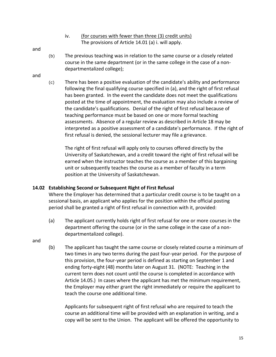iv. (for courses with fewer than three (3) credit units) The provisions of Article 14.01 (a) i. will apply.

#### and

(b) The previous teaching was in relation to the same course or a closely related course in the same department (or in the same college in the case of a nondepartmentalized college);

#### and

(c) There has been a positive evaluation of the candidate's ability and performance following the final qualifying course specified in (a), and the right of first refusal has been granted. In the event the candidate does not meet the qualifications posted at the time of appointment, the evaluation may also include a review of the candidate's qualifications. Denial of the right of first refusal because of teaching performance must be based on one or more formal teaching assessments. Absence of a regular review as described in Article 18 may be interpreted as a positive assessment of a candidate's performance. If the right of first refusal is denied, the sessional lecturer may file a grievance.

The right of first refusal will apply only to courses offered directly by the University of Saskatchewan, and a credit toward the right of first refusal will be earned when the instructor teaches the course as a member of this bargaining unit or subsequently teaches the course as a member of faculty in a term position at the University of Saskatchewan.

#### **14.02 Establishing Second or Subsequent Right of First Refusal**

Where the Employer has determined that a particular credit course is to be taught on a sessional basis, an applicant who applies for the position within the official posting period shall be granted a right of first refusal in connection with it, provided:

(a) The applicant currently holds right of first refusal for one or more courses in the department offering the course (or in the same college in the case of a nondepartmentalized college).

and

(b) The applicant has taught the same course or closely related course a minimum of two times in any two terms during the past four-year period. For the purpose of this provision, the four-year period is defined as starting on September 1 and ending forty-eight (48) months later on August 31. (NOTE: Teaching in the current term does not count until the course is completed in accordance with Article 14.05.) In cases where the applicant has met the minimum requirement, the Employer may either grant the right immediately or require the applicant to teach the course one additional time.

Applicants for subsequent right of first refusal who are required to teach the course an additional time will be provided with an explanation in writing, and a copy will be sent to the Union. The applicant will be offered the opportunity to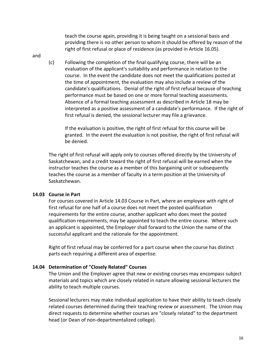teach the course again, providing it is being taught on a sessional basis and providing there is no other person to whom it should be offered by reason of the right of first refusal or place of residence (as provided in Article 16.05).

- and
- (c) Following the completion of the final qualifying course, there will be an evaluation of the applicant's suitability and performance in relation to the course. In the event the candidate does not meet the qualifications posted at the time of appointment, the evaluation may also include a review of the candidate's qualifications. Denial of the right of first refusal because of teaching performance must be based on one or more formal teaching assessments. Absence of a formal teaching assessment as described in Article 18 may be interpreted as a positive assessment of a candidate's performance. If the right of first refusal is denied, the sessional lecturer may file a grievance.

If the evaluation is positive, the right of first refusal for this course will be granted. In the event the evaluation is not positive, the right of first refusal will be denied.

The right of first refusal will apply only to courses offered directly by the University of Saskatchewan, and a credit toward the right of first refusal will be earned when the instructor teaches the course as a member of this bargaining unit or subsequently teaches the course as a member of faculty in a term position at the University of Saskatchewan.

#### **14.03 Course in Part**

For courses covered in Article 14.03 Course in Part, where an employee with right of first refusal for one half of a course does not meet the posted qualification requirements for the entire course, another applicant who does meet the posted qualification requirements, may be appointed to teach the entire course. Where such an applicant is appointed, the Employer shall forward to the Union the name of the successful applicant and the rationale for the appointment.

Right of first refusal may be conferred for a part course when the course has distinct parts each requiring a different area of expertise.

# **14.04 Determination of "Closely Related" Courses**

The Union and the Employer agree that new or existing courses may encompass subject materials and topics which are closely related in nature allowing sessional lecturers the ability to teach multiple courses.

Sessional lecturers may make individual application to have their ability to teach closely related courses determined during their teaching review or assessment. The Union may direct requests to determine whether courses are "closely related" to the department head (or Dean of non-departmentalized college).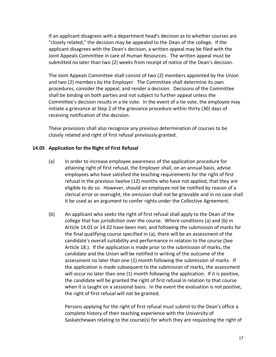If an applicant disagrees with a department head's decision as to whether courses are "closely related," the decision may be appealed to the Dean of the college. If the applicant disagrees with the Dean's decision, a written appeal may be filed with the Joint Appeals Committee in care of Human Resources. The written appeal must be submitted no later than two (2) weeks from receipt of notice of the Dean's decision.

The Joint Appeals Committee shall consist of two (2) members appointed by the Union and two (2) members by the Employer. The Committee shall determine its own procedures, consider the appeal, and render a decision. Decisions of the Committee shall be binding on both parties and not subject to further appeal unless the Committee's decision results in a tie vote. In the event of a tie vote, the employee may initiate a grievance at Step 2 of the grievance procedure within thirty (30) days of receiving notification of the decision.

These provisions shall also recognize any previous determination of courses to be closely related and right of first refusal previously granted.

## **14.05 Application for the Right of First Refusal**

- (a) In order to increase employee awareness of the application procedure for attaining right of first refusal, the Employer shall, on an annual basis, advise employees who have satisfied the teaching requirements for the right of first refusal in the previous twelve (12) months who have not applied, that they are eligible to do so. However, should an employee not be notified by reason of a clerical error or oversight, the omission shall not be grievable and in no case shall it be used as an argument to confer rights under the Collective Agreement.
- (b) An applicant who seeks the right of first refusal shall apply to the Dean of the college that has jurisdiction over the course. Where conditions (a) and (b) in Article 14.01 or 14.02 have been met, and following the submission of marks for the final qualifying course specified in (a), there will be an assessment of the candidate's overall suitability and performance in relation to the course (See Article 18.). If the application is made prior to the submission of marks, the candidate and the Union will be notified in writing of the outcome of the assessment no later than one (1) month following the submission of marks. If the application is made subsequent to the submission of marks, the assessment will occur no later than one (1) month following the application. If it is positive, the candidate will be granted the right of first refusal in relation to that course when it is taught on a sessional basis. In the event the evaluation is not positive, the right of first refusal will not be granted.

Persons applying for the right of first refusal must submit to the Dean's office a complete history of their teaching experience with the University of Saskatchewan relating to the course(s) for which they are requesting the right of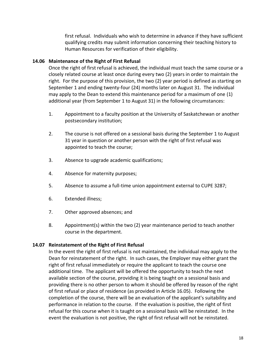first refusal. Individuals who wish to determine in advance if they have sufficient qualifying credits may submit information concerning their teaching history to Human Resources for verification of their eligibility.

# **14.06 Maintenance of the Right of First Refusal**

Once the right of first refusal is achieved, the individual must teach the same course or a closely related course at least once during every two (2) years in order to maintain the right. For the purpose of this provision, the two (2) year period is defined as starting on September 1 and ending twenty-four (24) months later on August 31. The individual may apply to the Dean to extend this maintenance period for a maximum of one (1) additional year (from September 1 to August 31) in the following circumstances:

- 1. Appointment to a faculty position at the University of Saskatchewan or another postsecondary institution;
- 2. The course is not offered on a sessional basis during the September 1 to August 31 year in question or another person with the right of first refusal was appointed to teach the course;
- 3. Absence to upgrade academic qualifications;
- 4. Absence for maternity purposes;
- 5. Absence to assume a full-time union appointment external to CUPE 3287;
- 6. Extended illness;
- 7. Other approved absences; and
- 8. Appointment(s) within the two (2) year maintenance period to teach another course in the department.

#### **14.07 Reinstatement of the Right of First Refusal**

In the event the right of first refusal is not maintained, the individual may apply to the Dean for reinstatement of the right. In such cases, the Employer may either grant the right of first refusal immediately or require the applicant to teach the course one additional time. The applicant will be offered the opportunity to teach the next available section of the course, providing it is being taught on a sessional basis and providing there is no other person to whom it should be offered by reason of the right of first refusal or place of residence (as provided in Article 16.05). Following the completion of the course, there will be an evaluation of the applicant's suitability and performance in relation to the course. If the evaluation is positive, the right of first refusal for this course when it is taught on a sessional basis will be reinstated. In the event the evaluation is not positive, the right of first refusal will not be reinstated.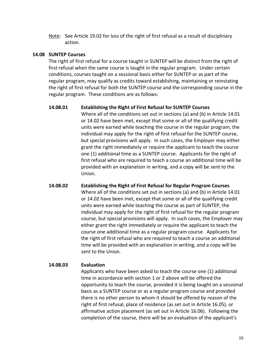Note: See Article 19.02 for loss of the right of first refusal as a result of disciplinary action.

#### **14.08 SUNTEP Courses**

The right of first refusal for a course taught in SUNTEP will be distinct from the right of first refusal when the same course is taught in the regular program. Under certain conditions, courses taught on a sessional basis either for SUNTEP or as part of the regular program, may qualify as credits toward establishing, maintaining or reinstating the right of first refusal for both the SUNTEP course and the corresponding course in the regular program. These conditions are as follows:

#### **14.08.01 Establishing the Right of First Refusal for SUNTEP Courses**

Where all of the conditions set out in sections (a) and (b) in Article 14.01 or 14.02 have been met, except that some or all of the qualifying credit units were earned while teaching the course in the regular program, the individual may apply for the right of first refusal for the SUNTEP course, but special provisions will apply. In such cases, the Employer may either grant the right immediately or require the applicant to teach the course one (1) additional time as a SUNTEP course. Applicants for the right of first refusal who are required to teach a course an additional time will be provided with an explanation in writing, and a copy will be sent to the Union.

# **14.08.02 Establishing the Right of First Refusal for Regular Program Courses** Where all of the conditions set out in sections (a) and (b) in Article 14.01 or 14.02 have been met, except that some or all of the qualifying credit units were earned while teaching the course as part of SUNTEP, the individual may apply for the right of first refusal for the regular program course, but special provisions will apply. In such cases, the Employer may either grant the right immediately or require the applicant to teach the course one additional time as a regular program course. Applicants for the right of first refusal who are required to teach a course an additional time will be provided with an explanation in writing, and a copy will be sent to the Union.

#### **14.08.03 Evaluation**

Applicants who have been asked to teach the course one (1) additional time in accordance with section 1 or 2 above will be offered the opportunity to teach the course, provided it is being taught on a sessional basis as a SUNTEP course or as a regular program course and provided there is no other person to whom it should be offered by reason of the right of first refusal, place of residence (as set out in Article 16.05), or affirmative action placement (as set out in Article 16.06). Following the completion of the course, there will be an evaluation of the applicant's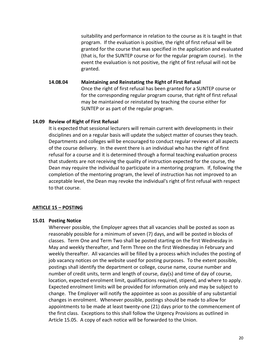suitability and performance in relation to the course as it is taught in that program. If the evaluation is positive, the right of first refusal will be granted for the course that was specified in the application and evaluated (that is, for the SUNTEP course or for the regular program course). In the event the evaluation is not positive, the right of first refusal will not be granted.

**14.08.04 Maintaining and Reinstating the Right of First Refusal** Once the right of first refusal has been granted for a SUNTEP course or for the corresponding regular program course, that right of first refusal may be maintained or reinstated by teaching the course either for SUNTEP or as part of the regular program.

#### **14.09 Review of Right of First Refusal**

It is expected that sessional lecturers will remain current with developments in their disciplines and on a regular basis will update the subject matter of courses they teach. Departments and colleges will be encouraged to conduct regular reviews of all aspects of the course delivery. In the event there is an individual who has the right of first refusal for a course and it is determined through a formal teaching evaluation process that students are not receiving the quality of instruction expected for the course, the Dean may require the individual to participate in a mentoring program. If, following the completion of the mentoring program, the level of instruction has not improved to an acceptable level, the Dean may revoke the individual's right of first refusal with respect to that course.

#### <span id="page-19-0"></span>**ARTICLE 15 – POSTING**

#### **15.01 Posting Notice**

Wherever possible, the Employer agrees that all vacancies shall be posted as soon as reasonably possible for a minimum of seven (7) days, and will be posted in blocks of classes. Term One and Term Two shall be posted starting on the first Wednesday in May and weekly thereafter, and Term Three on the first Wednesday in February and weekly thereafter. All vacancies will be filled by a process which includes the posting of job vacancy notices on the website used for posting purposes. To the extent possible, postings shall identify the department or college, course name, course number and number of credit units, term and length of course, day(s) and time of day of course, location, expected enrolment limit, qualifications required, stipend, and where to apply. Expected enrolment limits will be provided for information only and may be subject to change. The Employer will notify the appointee as soon as possible of any substantial changes in enrolment. Whenever possible, postings should be made to allow for appointments to be made at least twenty-one (21) days prior to the commencement of the first class. Exceptions to this shall follow the Urgency Provisions as outlined in Article 15.05. A copy of each notice will be forwarded to the Union.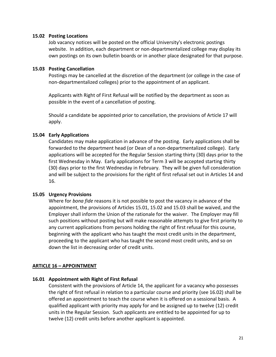#### **15.02 Posting Locations**

Job vacancy notices will be posted on the official University's electronic postings website. In addition, each department or non-departmentalized college may display its own postings on its own bulletin boards or in another place designated for that purpose.

#### **15.03 Posting Cancellation**

Postings may be cancelled at the discretion of the department (or college in the case of non-departmentalized colleges) prior to the appointment of an applicant.

Applicants with Right of First Refusal will be notified by the department as soon as possible in the event of a cancellation of posting.

Should a candidate be appointed prior to cancellation, the provisions of Article 17 will apply.

#### **15.04 Early Applications**

Candidates may make application in advance of the posting. Early applications shall be forwarded to the department head (or Dean of a non-departmentalized college). Early applications will be accepted for the Regular Session starting thirty (30) days prior to the first Wednesday in May. Early applications for Term 3 will be accepted starting thirty (30) days prior to the first Wednesday in February. They will be given full consideration and will be subject to the provisions for the right of first refusal set out in Articles 14 and 16.

#### **15.05 Urgency Provisions**

Where for *bona fide* reasons it is not possible to post the vacancy in advance of the appointment, the provisions of Articles 15.01, 15.02 and 15.03 shall be waived, and the Employer shall inform the Union of the rationale for the waiver. The Employer may fill such positions without posting but will make reasonable attempts to give first priority to any current applications from persons holding the right of first refusal for this course, beginning with the applicant who has taught the most credit units in the department, proceeding to the applicant who has taught the second most credit units, and so on down the list in decreasing order of credit units.

#### <span id="page-20-0"></span>**ARTICLE 16 – APPOINTMENT**

#### **16.01 Appointment with Right of First Refusal**

Consistent with the provisions of Article 14, the applicant for a vacancy who possesses the right of first refusal in relation to a particular course and priority (see 16.02) shall be offered an appointment to teach the course when it is offered on a sessional basis. A qualified applicant with priority may apply for and be assigned up to twelve (12) credit units in the Regular Session. Such applicants are entitled to be appointed for up to twelve (12) credit units before another applicant is appointed.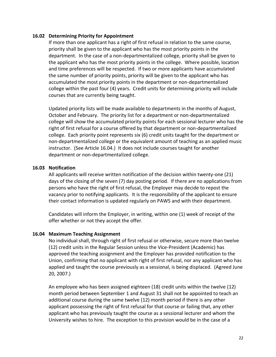#### **16.02 Determining Priority for Appointment**

If more than one applicant has a right of first refusal in relation to the same course, priority shall be given to the applicant who has the most priority points in the department. In the case of a non-departmentalized college, priority shall be given to the applicant who has the most priority points in the college. Where possible, location and time preferences will be respected. If two or more applicants have accumulated the same number of priority points, priority will be given to the applicant who has accumulated the most priority points in the department or non-departmentalized college within the past four (4) years. Credit units for determining priority will include courses that are currently being taught.

Updated priority lists will be made available to departments in the months of August, October and February. The priority list for a department or non-departmentalized college will show the accumulated priority points for each sessional lecturer who has the right of first refusal for a course offered by that department or non-departmentalized college. Each priority point represents six (6) credit units taught for the department or non-departmentalized college or the equivalent amount of teaching as an applied music instructor. (See Article 16.04.) It does not include courses taught for another department or non-departmentalized college.

#### **16.03 Notification**

All applicants will receive written notification of the decision within twenty-one (21) days of the closing of the seven (7) day posting period. If there are no applications from persons who have the right of first refusal, the Employer may decide to repost the vacancy prior to notifying applicants. It is the responsibility of the applicant to ensure their contact information is updated regularly on PAWS and with their department.

Candidates will inform the Employer, in writing, within one (1) week of receipt of the offer whether or not they accept the offer.

#### **16.04 Maximum Teaching Assignment**

No individual shall, through right of first refusal or otherwise, secure more than twelve (12) credit units in the Regular Session unless the Vice-President (Academic) has approved the teaching assignment and the Employer has provided notification to the Union, confirming that no applicant with right of first refusal, nor any applicant who has applied and taught the course previously as a sessional, is being displaced. (Agreed June 20, 2007.)

An employee who has been assigned eighteen (18) credit units within the twelve (12) month period between September 1 and August 31 shall not be appointed to teach an additional course during the same twelve (12) month period if there is any other applicant possessing the right of first refusal for that course or failing that, any other applicant who has previously taught the course as a sessional lecturer and whom the University wishes to hire. The exception to this provision would be in the case of a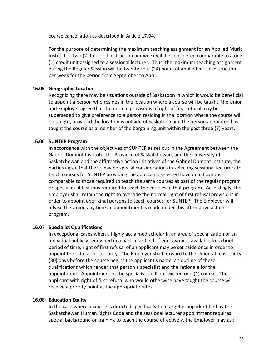course cancellation as described in Article 17.04.

For the purpose of determining the maximum teaching assignment for an Applied Music Instructor, two (2) hours of instruction per week will be considered comparable to a one (1) credit unit assigned to a sessional lecturer. Thus, the maximum teaching assignment during the Regular Session will be twenty-four (24) hours of applied music instruction per week for the period from September to April.

# **16.05 Geographic Location**

Recognizing there may be situations outside of Saskatoon in which it would be beneficial to appoint a person who resides in the location where a course will be taught, the Union and Employer agree that the normal provisions of right of first refusal may be superseded to give preference to a person residing in the location where the course will be taught, provided the location is outside of Saskatoon and the person appointed has taught the course as a member of the bargaining unit within the past three (3) years.

## **16.06 SUNTEP Program**

In accordance with the objectives of SUNTEP as set out in the Agreement between the Gabriel Dumont Institute, the Province of Saskatchewan, and the University of Saskatchewan and the affirmative action initiatives of the Gabriel Dumont Institute, the parties agree that there may be special considerations in selecting sessional lecturers to teach courses for SUNTEP providing the applicants selected have qualifications comparable to those required to teach the same courses as part of the regular program or special qualifications required to teach the courses in that program. Accordingly, the Employer shall retain the right to override the normal right of first refusal provisions in order to appoint aboriginal persons to teach courses for SUNTEP. The Employer will advise the Union any time an appointment is made under this affirmative action program.

#### **16.07 Specialist Qualifications**

In exceptional cases when a highly acclaimed scholar in an area of specialization or an individual publicly renowned in a particular field of endeavour is available for a brief period of time, right of first refusal of an applicant may be set aside once in order to appoint the scholar or celebrity. The Employer shall forward to the Union at least thirty (30) days before the course begins the applicant's name, an outline of those qualifications which render that person a specialist and the rationale for the appointment. Appointment of the specialist shall not exceed one (1) course. The applicant with right of first refusal who would otherwise have taught the course will receive a priority point at the appropriate rates.

# **16.08 Education Equity**

In the case where a course is directed specifically to a target group identified by the Saskatchewan Human Rights Code and the sessional lecturer appointment requires special background or training to teach the course effectively, the Employer may ask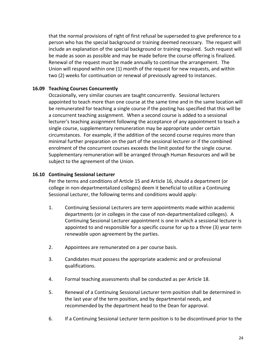that the normal provisions of right of first refusal be superseded to give preference to a person who has the special background or training deemed necessary. The request will include an explanation of the special background or training required. Such request will be made as soon as possible and may be made before the course offering is finalized. Renewal of the request must be made annually to continue the arrangement. The Union will respond within one (1) month of the request for new requests, and within two (2) weeks for continuation or renewal of previously agreed to instances.

## **16.09 Teaching Courses Concurrently**

Occasionally, very similar courses are taught concurrently. Sessional lecturers appointed to teach more than one course at the same time and in the same location will be remunerated for teaching a single course if the posting has specified that this will be a concurrent teaching assignment. When a second course is added to a sessional lecturer's teaching assignment following the acceptance of any appointment to teach a single course, supplementary remuneration may be appropriate under certain circumstances. For example, if the addition of the second course requires more than minimal further preparation on the part of the sessional lecturer or if the combined enrolment of the concurrent courses exceeds the limit posted for the single course. Supplementary remuneration will be arranged through Human Resources and will be subject to the agreement of the Union.

## **16.10 Continuing Sessional Lecturer**

Per the terms and conditions of Article 15 and Article 16, should a department (or college in non-departmentalized colleges) deem it beneficial to utilize a Continuing Sessional Lecturer, the following terms and conditions would apply:

- 1. Continuing Sessional Lecturers are term appointments made within academic departments (or in colleges in the case of non-departmentalized colleges). A Continuing Sessional Lecturer appointment is one in which a sessional lecturer is appointed to and responsible for a specific course for up to a three (3) year term renewable upon agreement by the parties.
- 2. Appointees are remunerated on a per course basis.
- 3. Candidates must possess the appropriate academic and or professional qualifications.
- 4. Formal teaching assessments shall be conducted as per Article 18.
- 5. Renewal of a Continuing Sessional Lecturer term position shall be determined in the last year of the term position, and by departmental needs, and recommended by the department head to the Dean for approval.
- 6. If a Continuing Sessional Lecturer term position is to be discontinued prior to the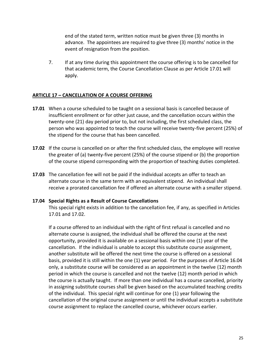end of the stated term, written notice must be given three (3) months in advance. The appointees are required to give three (3) months' notice in the event of resignation from the position.

7. If at any time during this appointment the course offering is to be cancelled for that academic term, the Course Cancellation Clause as per Article 17.01 will apply.

## <span id="page-24-0"></span>**ARTICLE 17 – CANCELLATION OF A COURSE OFFERING**

- **17.01** When a course scheduled to be taught on a sessional basis is cancelled because of insufficient enrollment or for other just cause, and the cancellation occurs within the twenty-one (21) day period prior to, but not including, the first scheduled class, the person who was appointed to teach the course will receive twenty-five percent (25%) of the stipend for the course that has been cancelled.
- **17.02** If the course is cancelled on or after the first scheduled class, the employee will receive the greater of (a) twenty-five percent (25%) of the course stipend or (b) the proportion of the course stipend corresponding with the proportion of teaching duties completed.
- **17.03** The cancellation fee will not be paid if the individual accepts an offer to teach an alternate course in the same term with an equivalent stipend. An individual shall receive a prorated cancellation fee if offered an alternate course with a smaller stipend.

#### **17.04 Special Rights as a Result of Course Cancellations**

This special right exists in addition to the cancellation fee, if any, as specified in Articles 17.01 and 17.02.

If a course offered to an individual with the right of first refusal is cancelled and no alternate course is assigned, the individual shall be offered the course at the next opportunity, provided it is available on a sessional basis within one (1) year of the cancellation. If the individual is unable to accept this substitute course assignment, another substitute will be offered the next time the course is offered on a sessional basis, provided it is still within the one (1) year period. For the purposes of Article 16.04 only, a substitute course will be considered as an appointment in the twelve (12) month period in which the course is cancelled and not the twelve (12) month period in which the course is actually taught. If more than one individual has a course cancelled, priority in assigning substitute courses shall be given based on the accumulated teaching credits of the individual. This special right will continue for one (1) year following the cancellation of the original course assignment or until the individual accepts a substitute course assignment to replace the cancelled course, whichever occurs earlier.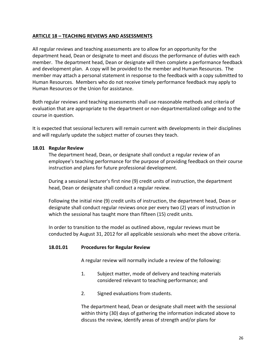# <span id="page-25-0"></span>**ARTICLE 18 – TEACHING REVIEWS AND ASSESSMENTS**

All regular reviews and teaching assessments are to allow for an opportunity for the department head, Dean or designate to meet and discuss the performance of duties with each member. The department head, Dean or designate will then complete a performance feedback and development plan. A copy will be provided to the member and Human Resources. The member may attach a personal statement in response to the feedback with a copy submitted to Human Resources. Members who do not receive timely performance feedback may apply to Human Resources or the Union for assistance.

Both regular reviews and teaching assessments shall use reasonable methods and criteria of evaluation that are appropriate to the department or non-departmentalized college and to the course in question.

It is expected that sessional lecturers will remain current with developments in their disciplines and will regularly update the subject matter of courses they teach.

#### **18.01 Regular Review**

The department head, Dean, or designate shall conduct a regular review of an employee's teaching performance for the purpose of providing feedback on their course instruction and plans for future professional development.

During a sessional lecturer's first nine (9) credit units of instruction, the department head, Dean or designate shall conduct a regular review.

Following the initial nine (9) credit units of instruction, the department head, Dean or designate shall conduct regular reviews once per every two (2) years of instruction in which the sessional has taught more than fifteen (15) credit units.

In order to transition to the model as outlined above, regular reviews must be conducted by August 31, 2012 for all applicable sessionals who meet the above criteria.

#### **18.01.01 Procedures for Regular Review**

A regular review will normally include a review of the following:

- 1. Subject matter, mode of delivery and teaching materials considered relevant to teaching performance; and
- 2. Signed evaluations from students.

The department head, Dean or designate shall meet with the sessional within thirty (30) days of gathering the information indicated above to discuss the review, identify areas of strength and/or plans for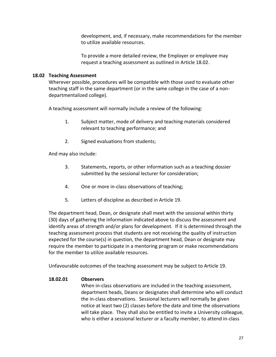development, and, if necessary, make recommendations for the member to utilize available resources.

To provide a more detailed review, the Employer or employee may request a teaching assessment as outlined in Article 18.02.

# **18.02 Teaching Assessment**

Wherever possible, procedures will be compatible with those used to evaluate other teaching staff in the same department (or in the same college in the case of a nondepartmentalized college).

A teaching assessment will normally include a review of the following:

- 1. Subject matter, mode of delivery and teaching materials considered relevant to teaching performance; and
- 2. Signed evaluations from students;

And may also include:

- 3. Statements, reports, or other information such as a teaching dossier submitted by the sessional lecturer for consideration;
- 4. One or more in-class observations of teaching;
- 5. Letters of discipline as described in Article 19.

The department head, Dean, or designate shall meet with the sessional within thirty (30) days of gathering the information indicated above to discuss the assessment and identify areas of strength and/or plans for development. If it is determined through the teaching assessment process that students are not receiving the quality of instruction expected for the course(s) in question, the department head, Dean or designate may require the member to participate in a mentoring program or make recommendations for the member to utilize available resources.

Unfavourable outcomes of the teaching assessment may be subject to Article 19.

# **18.02.01 Observers**

When in-class observations are included in the teaching assessment, department heads, Deans or designates shall determine who will conduct the in-class observations. Sessional lecturers will normally be given notice at least two (2) classes before the date and time the observations will take place. They shall also be entitled to invite a University colleague, who is either a sessional lecturer or a faculty member, to attend in-class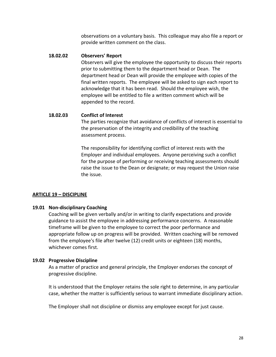observations on a voluntary basis. This colleague may also file a report or provide written comment on the class.

#### **18.02.02 Observers' Report**

Observers will give the employee the opportunity to discuss their reports prior to submitting them to the department head or Dean. The department head or Dean will provide the employee with copies of the final written reports. The employee will be asked to sign each report to acknowledge that it has been read. Should the employee wish, the employee will be entitled to file a written comment which will be appended to the record.

#### **18.02.03 Conflict of Interest**

The parties recognize that avoidance of conflicts of interest is essential to the preservation of the integrity and credibility of the teaching assessment process.

The responsibility for identifying conflict of interest rests with the Employer and individual employees. Anyone perceiving such a conflict for the purpose of performing or receiving teaching assessments should raise the issue to the Dean or designate; or may request the Union raise the issue.

#### <span id="page-27-0"></span>**ARTICLE 19 – DISCIPLINE**

#### **19.01 Non-disciplinary Coaching**

Coaching will be given verbally and/or in writing to clarify expectations and provide guidance to assist the employee in addressing performance concerns. A reasonable timeframe will be given to the employee to correct the poor performance and appropriate follow up on progress will be provided. Written coaching will be removed from the employee's file after twelve (12) credit units or eighteen (18) months, whichever comes first.

#### **19.02 Progressive Discipline**

As a matter of practice and general principle, the Employer endorses the concept of progressive discipline.

It is understood that the Employer retains the sole right to determine, in any particular case, whether the matter is sufficiently serious to warrant immediate disciplinary action.

The Employer shall not discipline or dismiss any employee except for just cause.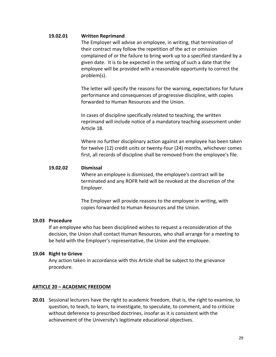#### **19.02.01 Written Reprimand**

The Employer will advise an employee, in writing, that termination of their contract may follow the repetition of the act or omission complained of or the failure to bring work up to a specified standard by a given date. It is to be expected in the setting of such a date that the employee will be provided with a reasonable opportunity to correct the problem(s).

The letter will specify the reasons for the warning, expectations for future performance and consequences of progressive discipline, with copies forwarded to Human Resources and the Union.

In cases of discipline specifically related to teaching, the written reprimand will include notice of a mandatory teaching assessment under Article 18.

Where no further disciplinary action against an employee has been taken for twelve (12) credit units or twenty-four (24) months, whichever comes first, all records of discipline shall be removed from the employee's file.

#### **19.02.02 Dismissal**

Where an employee is dismissed, the employee's contract will be terminated and any ROFR held will be revoked at the discretion of the Employer.

The Employer will provide reasons to the employee in writing, with copies forwarded to Human Resources and the Union.

#### **19.03 Procedure**

If an employee who has been disciplined wishes to request a reconsideration of the decision, the Union shall contact Human Resources, who shall arrange for a meeting to be held with the Employer's representative, the Union and the employee.

#### **19.04 Right to Grieve**

Any action taken in accordance with this Article shall be subject to the grievance procedure.

#### <span id="page-28-0"></span>**ARTICLE 20 – ACADEMIC FREEDOM**

**20.01** Sessional lecturers have the right to academic freedom, that is, the right to examine, to question, to teach, to learn, to investigate, to speculate, to comment, and to criticize without deference to prescribed doctrines, insofar as it is consistent with the achievement of the University's legitimate educational objectives.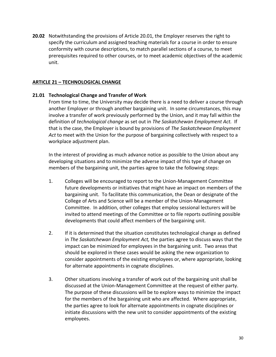**20.02** Notwithstanding the provisions of Article 20.01, the Employer reserves the right to specify the curriculum and assigned teaching materials for a course in order to ensure conformity with course descriptions, to match parallel sections of a course, to meet prerequisites required to other courses, or to meet academic objectives of the academic unit.

#### <span id="page-29-0"></span>**ARTICLE 21 – TECHNOLOGICAL CHANGE**

#### **21.01 Technological Change and Transfer of Work**

From time to time, the University may decide there is a need to deliver a course through another Employer or through another bargaining unit. In some circumstances, this may involve a transfer of work previously performed by the Union, and it may fall within the definition of *technological change* as set out in *The Saskatchewan Employment Act.* If that is the case, the Employer is bound by provisions of *The Saskatchewan Employment Act* to meet with the Union for the purpose of bargaining collectively with respect to a workplace adjustment plan.

In the interest of providing as much advance notice as possible to the Union about any developing situations and to minimize the adverse impact of this type of change on members of the bargaining unit, the parties agree to take the following steps:

- 1. Colleges will be encouraged to report to the Union-Management Committee future developments or initiatives that might have an impact on members of the bargaining unit. To facilitate this communication, the Dean or designate of the College of Arts and Science will be a member of the Union-Management Committee. In addition, other colleges that employ sessional lecturers will be invited to attend meetings of the Committee or to file reports outlining possible developments that could affect members of the bargaining unit.
- 2. If it is determined that the situation constitutes technological change as defined in *The Saskatchewan Employment Act,* the parties agree to discuss ways that the impact can be minimized for employees in the bargaining unit. Two areas that should be explored in these cases would be asking the new organization to consider appointments of the existing employees or, where appropriate, looking for alternate appointments in cognate disciplines.
- 3. Other situations involving a transfer of work out of the bargaining unit shall be discussed at the Union-Management Committee at the request of either party. The purpose of these discussions will be to explore ways to minimize the impact for the members of the bargaining unit who are affected. Where appropriate, the parties agree to look for alternate appointments in cognate disciplines or initiate discussions with the new unit to consider appointments of the existing employees.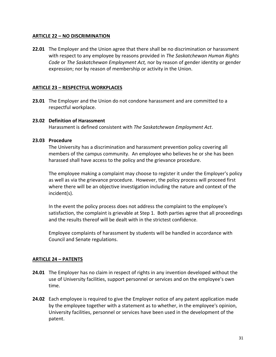## <span id="page-30-0"></span>**ARTICLE 22 – NO DISCRIMINATION**

**22.01** The Employer and the Union agree that there shall be no discrimination or harassment with respect to any employee by reasons provided in *The Saskatchewan Human Rights Code* or *The Saskatchewan Employment Act,* nor by reason of gender identity or gender expression; nor by reason of membership or activity in the Union.

#### <span id="page-30-1"></span>**ARTICLE 23 – RESPECTFUL WORKPLACES**

**23.01** The Employer and the Union do not condone harassment and are committed to a respectful workplace.

#### **23.02 Definition of Harassment**

Harassment is defined consistent with *The Saskatchewan Employment Act*.

#### **23.03 Procedure**

The University has a discrimination and harassment prevention policy covering all members of the campus community. An employee who believes he or she has been harassed shall have access to the policy and the grievance procedure.

The employee making a complaint may choose to register it under the Employer's policy as well as via the grievance procedure. However, the policy process will proceed first where there will be an objective investigation including the nature and context of the incident(s).

In the event the policy process does not address the complaint to the employee's satisfaction, the complaint is grievable at Step 1. Both parties agree that all proceedings and the results thereof will be dealt with in the strictest confidence.

Employee complaints of harassment by students will be handled in accordance with Council and Senate regulations.

# <span id="page-30-2"></span>**ARTICLE 24 – PATENTS**

- **24.01** The Employer has no claim in respect of rights in any invention developed without the use of University facilities, support personnel or services and on the employee's own time.
- **24.02** Each employee is required to give the Employer notice of any patent application made by the employee together with a statement as to whether, in the employee's opinion, University facilities, personnel or services have been used in the development of the patent.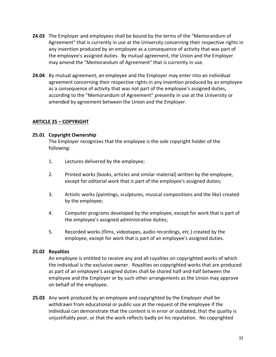- **24.03** The Employer and employees shall be bound by the terms of the "Memorandum of Agreement" that is currently in use at the University concerning their respective rights in any invention produced by an employee as a consequence of activity that was part of the employee's assigned duties. By mutual agreement, the Union and the Employer may amend the "Memorandum of Agreement" that is currently in use.
- **24.04** By mutual agreement, an employee and the Employer may enter into an individual agreement concerning their respective rights in any invention produced by an employee as a consequence of activity that was not part of the employee's assigned duties, according to the "Memorandum of Agreement" presently in use at the University or amended by agreement between the Union and the Employer.

# <span id="page-31-0"></span>**ARTICLE 25 – COPYRIGHT**

#### **25.01 Copyright Ownership**

The Employer recognizes that the employee is the sole copyright holder of the following:

- 1. Lectures delivered by the employee;
- 2. Printed works (books, articles and similar material) written by the employee, except for editorial work that is part of the employee's assigned duties;
- 3. Artistic works (paintings, sculptures, musical compositions and the like) created by the employee;
- 4. Computer programs developed by the employee, except for work that is part of the employee's assigned administrative duties;
- 5. Recorded works (films, videotapes, audio recordings, etc.) created by the employee, except for work that is part of an employee's assigned duties.

#### **25.02 Royalties**

An employee is entitled to receive any and all royalties on copyrighted works of which the individual is the exclusive owner. Royalties on copyrighted works that are produced as part of an employee's assigned duties shall be shared half-and-half between the employee and the Employer or by such other arrangements as the Union may approve on behalf of the employee.

**25.03** Any work produced by an employee and copyrighted by the Employer shall be withdrawn from educational or public use at the request of the employee if the individual can demonstrate that the content is in error or outdated, that the quality is unjustifiably poor, or that the work reflects badly on his reputation. No copyrighted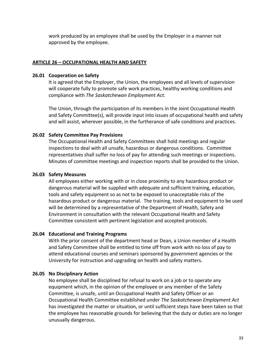work produced by an employee shall be used by the Employer in a manner not approved by the employee.

#### <span id="page-32-0"></span>**ARTICLE 26 – OCCUPATIONAL HEALTH AND SAFETY**

#### **26.01 Cooperation on Safety**

It is agreed that the Employer, the Union, the employees and all levels of supervision will cooperate fully to promote safe work practices, healthy working conditions and compliance with *The Saskatchewan Employment Act.*

The Union, through the participation of its members in the Joint Occupational Health and Safety Committee(s), will provide input into issues of occupational health and safety and will assist, wherever possible, in the furtherance of safe conditions and practices.

#### **26.02 Safety Committee Pay Provisions**

The Occupational Health and Safety Committees shall hold meetings and regular inspections to deal with all unsafe, hazardous or dangerous conditions. Committee representatives shall suffer no loss of pay for attending such meetings or inspections. Minutes of committee meetings and inspection reports shall be provided to the Union.

#### **26.03 Safety Measures**

All employees either working with or in close proximity to any hazardous product or dangerous material will be supplied with adequate and sufficient training, education, tools and safety equipment so as not to be exposed to unacceptable risks of the hazardous product or dangerous material. The training, tools and equipment to be used will be determined by a representative of the Department of Health, Safety and Environment in consultation with the relevant Occupational Health and Safety Committee consistent with pertinent legislation and accepted protocols.

#### **26.04 Educational and Training Programs**

With the prior consent of the department head or Dean, a Union member of a Health and Safety Committee shall be entitled to time off from work with no loss of pay to attend educational courses and seminars sponsored by government agencies or the University for instruction and upgrading on health and safety matters.

#### **26.05 No Disciplinary Action**

No employee shall be disciplined for refusal to work on a job or to operate any equipment which, in the opinion of the employee or any member of the Safety Committee, is unsafe, until an Occupational Health and Safety Officer or an Occupational Health Committee established under *The Saskatchewan Employment Act*  has investigated the matter or situation, or until sufficient steps have been taken so that the employee has reasonable grounds for believing that the duty or duties are no longer unusually dangerous.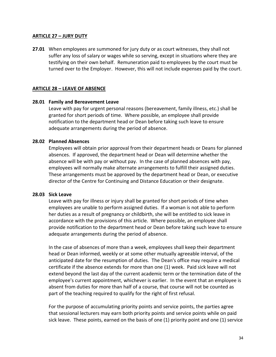#### <span id="page-33-0"></span>**ARTICLE 27 – JURY DUTY**

**27.01** When employees are summoned for jury duty or as court witnesses, they shall not suffer any loss of salary or wages while so serving, except in situations where they are testifying on their own behalf. Remuneration paid to employees by the court must be turned over to the Employer. However, this will not include expenses paid by the court.

#### <span id="page-33-1"></span>**ARTICLE 28 – LEAVE OF ABSENCE**

#### **28.01 Family and Bereavement Leave**

Leave with pay for urgent personal reasons (bereavement, family illness, etc.) shall be granted for short periods of time. Where possible, an employee shall provide notification to the department head or Dean before taking such leave to ensure adequate arrangements during the period of absence.

#### **28.02 Planned Absences**

Employees will obtain prior approval from their department heads or Deans for planned absences. If approved, the department head or Dean will determine whether the absence will be with pay or without pay. In the case of planned absences with pay, employees will normally make alternate arrangements to fulfill their assigned duties. These arrangements must be approved by the department head or Dean, or executive director of the Centre for Continuing and Distance Education or their designate.

#### **28.03 Sick Leave**

Leave with pay for illness or injury shall be granted for short periods of time when employees are unable to perform assigned duties. If a woman is not able to perform her duties as a result of pregnancy or childbirth, she will be entitled to sick leave in accordance with the provisions of this article. Where possible, an employee shall provide notification to the department head or Dean before taking such leave to ensure adequate arrangements during the period of absence.

In the case of absences of more than a week, employees shall keep their department head or Dean informed, weekly or at some other mutually agreeable interval, of the anticipated date for the resumption of duties. The Dean's office may require a medical certificate if the absence extends for more than one (1) week. Paid sick leave will not extend beyond the last day of the current academic term or the termination date of the employee's current appointment, whichever is earlier. In the event that an employee is absent from duties for more than half of a course, that course will not be counted as part of the teaching required to qualify for the right of first refusal.

For the purpose of accumulating priority points and service points, the parties agree that sessional lecturers may earn both priority points and service points while on paid sick leave. These points, earned on the basis of one (1) priority point and one (1) service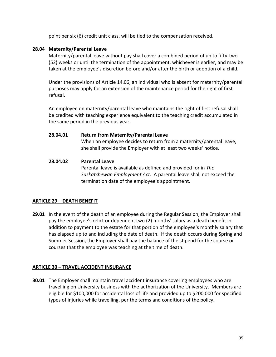point per six (6) credit unit class, will be tied to the compensation received.

# **28.04 Maternity/Parental Leave**

Maternity/parental leave without pay shall cover a combined period of up to fifty-two (52) weeks or until the termination of the appointment, whichever is earlier, and may be taken at the employee's discretion before and/or after the birth or adoption of a child.

Under the provisions of Article 14.06, an individual who is absent for maternity/parental purposes may apply for an extension of the maintenance period for the right of first refusal.

An employee on maternity/parental leave who maintains the right of first refusal shall be credited with teaching experience equivalent to the teaching credit accumulated in the same period in the previous year.

**28.04.01 Return from Maternity/Parental Leave**

When an employee decides to return from a maternity/parental leave, she shall provide the Employer with at least two weeks' notice.

**28.04.02 Parental Leave** Parental leave is available as defined and provided for in *The Saskatchewan Employment Act.* A parental leave shall not exceed the termination date of the employee's appointment.

# <span id="page-34-0"></span>**ARTICLE 29 – DEATH BENEFIT**

**29.01** In the event of the death of an employee during the Regular Session, the Employer shall pay the employee's relict or dependent two (2) months' salary as a death benefit in addition to payment to the estate for that portion of the employee's monthly salary that has elapsed up to and including the date of death. If the death occurs during Spring and Summer Session, the Employer shall pay the balance of the stipend for the course or courses that the employee was teaching at the time of death.

#### <span id="page-34-1"></span>**ARTICLE 30 – TRAVEL ACCIDENT INSURANCE**

**30.01** The Employer shall maintain travel accident insurance covering employees who are travelling on University business with the authorization of the University. Members are eligible for \$100,000 for accidental loss of life and provided up to \$200,000 for specified types of injuries while travelling, per the terms and conditions of the policy.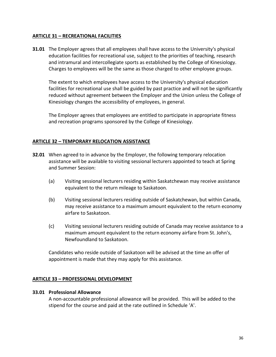## <span id="page-35-0"></span>**ARTICLE 31 – RECREATIONAL FACILITIES**

**31.01** The Employer agrees that all employees shall have access to the University's physical education facilities for recreational use, subject to the priorities of teaching, research and intramural and intercollegiate sports as established by the College of Kinesiology. Charges to employees will be the same as those charged to other employee groups.

The extent to which employees have access to the University's physical education facilities for recreational use shall be guided by past practice and will not be significantly reduced without agreement between the Employer and the Union unless the College of Kinesiology changes the accessibility of employees, in general.

The Employer agrees that employees are entitled to participate in appropriate fitness and recreation programs sponsored by the College of Kinesiology.

#### <span id="page-35-1"></span>**ARTICLE 32 – TEMPORARY RELOCATION ASSISTANCE**

- **32.01** When agreed to in advance by the Employer, the following temporary relocation assistance will be available to visiting sessional lecturers appointed to teach at Spring and Summer Session:
	- (a) Visiting sessional lecturers residing within Saskatchewan may receive assistance equivalent to the return mileage to Saskatoon.
	- (b) Visiting sessional lecturers residing outside of Saskatchewan, but within Canada, may receive assistance to a maximum amount equivalent to the return economy airfare to Saskatoon.
	- (c) Visiting sessional lecturers residing outside of Canada may receive assistance to a maximum amount equivalent to the return economy airfare from St. John's, Newfoundland to Saskatoon.

Candidates who reside outside of Saskatoon will be advised at the time an offer of appointment is made that they may apply for this assistance.

#### <span id="page-35-2"></span>**ARTICLE 33 – PROFESSIONAL DEVELOPMENT**

#### **33.01 Professional Allowance**

A non-accountable professional allowance will be provided. This will be added to the stipend for the course and paid at the rate outlined in Schedule 'A'.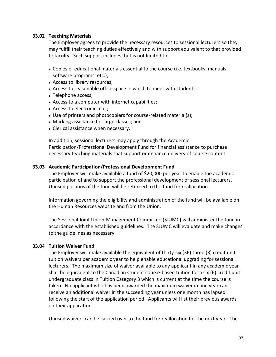#### **33.02 Teaching Materials**

The Employer agrees to provide the necessary resources to sessional lecturers so they may fulfill their teaching duties effectively and with support equivalent to that provided to faculty. Such support includes, but is not limited to:

- Copies of educational materials essential to the course (i.e. textbooks, manuals, software programs, etc.);
- Access to library resources;
- Access to reasonable office space in which to meet with students;
- Telephone access;
- Access to a computer with internet capabilities;
- Access to electronic mail;
- Use of printers and photocopiers for course-related material(s);
- Marking assistance for large classes; and
- Clerical assistance when necessary.

In addition, sessional lecturers may apply through the Academic Participation/Professional Development Fund for financial assistance to purchase necessary teaching materials that support or enhance delivery of course content.

#### **33.03 Academic Participation/Professional Development Fund**

The Employer will make available a fund of \$20,000 per year to enable the academic participation of and to support the professional development of sessional lecturers. Unused portions of the fund will be returned to the fund for reallocation.

Information governing the eligibility and administration of the fund will be available on the Human Resources website and from the Union.

The Sessional Joint Union-Management Committee (SJUMC) will administer the fund in accordance with the established guidelines. The SJUMC will evaluate and make changes to the guidelines as necessary.

#### **33.04 Tuition Waiver Fund**

The Employer will make available the equivalent of thirty-six (36) three (3) credit unit tuition waivers per academic year to help enable educational upgrading for sessional lecturers. The maximum size of waiver available to any applicant in any academic year shall be equivalent to the Canadian student course-based tuition for a six (6) credit unit undergraduate class in Tuition Category 3 which is current at the time the course is taken. No applicant who has been awarded the maximum waiver in one year can receive an additional waiver in the succeeding year unless one month has lapsed following the start of the application period. Applicants will list their previous awards on their application.

Unused waivers can be carried over to the fund for reallocation for the next year. The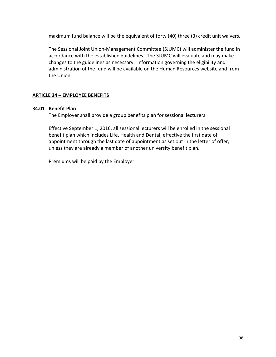maximum fund balance will be the equivalent of forty (40) three (3) credit unit waivers.

The Sessional Joint Union-Management Committee (SJUMC) will administer the fund in accordance with the established guidelines. The SJUMC will evaluate and may make changes to the guidelines as necessary. Information governing the eligibility and administration of the fund will be available on the Human Resources website and from the Union.

# <span id="page-37-0"></span>**ARTICLE 34 – EMPLOYEE BENEFITS**

# **34.01 Benefit Plan**

The Employer shall provide a group benefits plan for sessional lecturers.

Effective September 1, 2016, all sessional lecturers will be enrolled in the sessional benefit plan which includes Life, Health and Dental, effective the first date of appointment through the last date of appointment as set out in the letter of offer, unless they are already a member of another university benefit plan.

Premiums will be paid by the Employer.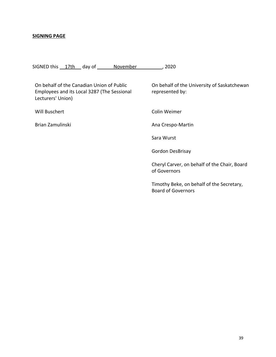#### <span id="page-38-0"></span>**SIGNING PAGE**

SIGNED this 17th day of November , 2020

On behalf of the Canadian Union of Public Employees and its Local 3287 (The Sessional Lecturers' Union) Will Buschert Brian Zamulinski On behalf of the University of Saskatchewan represented by: Colin Weimer Ana Crespo-Martin Sara Wurst Gordon DesBrisay Cheryl Carver, on behalf of the Chair, Board of Governors Timothy Beke, on behalf of the Secretary, Board of Governors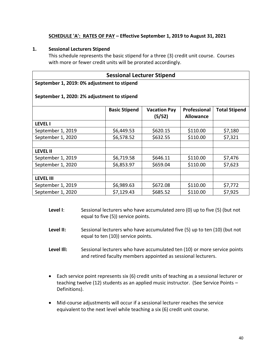# **SCHEDULE 'A': RATES OF PAY – Effective September 1, 2019 to August 31, 2021**

#### <span id="page-39-0"></span>**1. Sessional Lecturers Stipend**

This schedule represents the basic stipend for a three (3) credit unit course. Courses with more or fewer credit units will be prorated accordingly.

# **Sessional Lecturer Stipend**

#### **September 1, 2019: 0% adjustment to stipend**

|                   | <b>Basic Stipend</b> | <b>Vacation Pay</b><br>(5/52) | Professional<br><b>Allowance</b> | <b>Total Stipend</b> |
|-------------------|----------------------|-------------------------------|----------------------------------|----------------------|
| <b>LEVEL I</b>    |                      |                               |                                  |                      |
| September 1, 2019 | \$6,449.53           | \$620.15                      | \$110.00                         | \$7,180              |
| September 1, 2020 | \$6,578.52           | \$632.55                      | \$110.00                         | \$7,321              |
|                   |                      |                               |                                  |                      |
| <b>LEVEL II</b>   |                      |                               |                                  |                      |
| September 1, 2019 | \$6,719.58           | \$646.11                      | \$110.00                         | \$7,476              |
| September 1, 2020 | \$6,853.97           | \$659.04                      | \$110.00                         | \$7,623              |
|                   |                      |                               |                                  |                      |
| <b>LEVEL III</b>  |                      |                               |                                  |                      |
| September 1, 2019 | \$6,989.63           | \$672.08                      | \$110.00                         | \$7,772              |
| September 1, 2020 | \$7,129.43           | \$685.52                      | \$110.00                         | \$7,925              |

#### **September 1, 2020: 2% adjustment to stipend**

- **Level I**: Sessional lecturers who have accumulated zero (0) up to five (5) (but not equal to five (5)) service points.
- **Level II:** Sessional lecturers who have accumulated five (5) up to ten (10) (but not equal to ten (10)) service points.
- **Level Ill:** Sessional lecturers who have accumulated ten (10) or more service points and retired faculty members appointed as sessional lecturers.
- Each service point represents six (6) credit units of teaching as a sessional lecturer or teaching twelve (12) students as an applied music instructor. (See Service Points – Definitions).
- Mid-course adjustments will occur if a sessional lecturer reaches the service equivalent to the next level while teaching a six (6) credit unit course.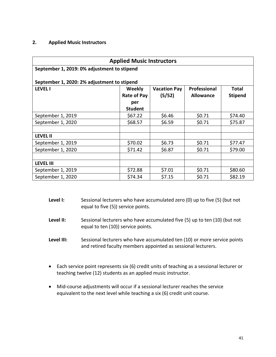## **2. Applied Music Instructors**

| <b>Applied Music Instructors</b>                                                                                                             |                    |        |                  |                |  |
|----------------------------------------------------------------------------------------------------------------------------------------------|--------------------|--------|------------------|----------------|--|
| September 1, 2019: 0% adjustment to stipend                                                                                                  |                    |        |                  |                |  |
|                                                                                                                                              |                    |        |                  |                |  |
| September 1, 2020: 2% adjustment to stipend<br><b>Professional</b><br><b>LEVEL I</b><br><b>Weekly</b><br><b>Vacation Pay</b><br><b>Total</b> |                    |        |                  |                |  |
|                                                                                                                                              | <b>Rate of Pay</b> | (5/52) | <b>Allowance</b> | <b>Stipend</b> |  |
|                                                                                                                                              | per                |        |                  |                |  |
|                                                                                                                                              | <b>Student</b>     |        |                  |                |  |
| September 1, 2019                                                                                                                            | \$67.22            | \$6.46 | \$0.71           | \$74.40        |  |
| September 1, 2020                                                                                                                            | \$68.57            | \$6.59 | \$0.71           | \$75.87        |  |
|                                                                                                                                              |                    |        |                  |                |  |
| <b>LEVEL II</b>                                                                                                                              |                    |        |                  |                |  |
| September 1, 2019                                                                                                                            | \$70.02            | \$6.73 | \$0.71           | \$77.47        |  |
| September 1, 2020                                                                                                                            | \$71.42            | \$6.87 | \$0.71           | \$79.00        |  |
|                                                                                                                                              |                    |        |                  |                |  |
| <b>LEVEL III</b>                                                                                                                             |                    |        |                  |                |  |
| September 1, 2019                                                                                                                            | \$72.88            | \$7.01 | \$0.71           | \$80.60        |  |
| September 1, 2020                                                                                                                            | \$74.34            | \$7.15 | \$0.71           | \$82.19        |  |

- **Level I:** Sessional lecturers who have accumulated zero (0) up to five (5) (but not equal to five (5)) service points.
- **Level II:** Sessional lecturers who have accumulated five (5) up to ten (10) (but not equal to ten (10)) service points.
- **Level III:** Sessional lecturers who have accumulated ten (10) or more service points and retired faculty members appointed as sessional lecturers.
- Each service point represents six (6) credit units of teaching as a sessional lecturer or teaching twelve (12) students as an applied music instructor.
- Mid-course adjustments will occur if a sessional lecturer reaches the service equivalent to the next level while teaching a six (6) credit unit course.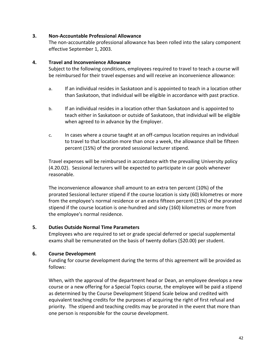## **3. Non-Accountable Professional Allowance**

The non-accountable professional allowance has been rolled into the salary component effective September 1, 2003.

#### **4. Travel and Inconvenience Allowance**

Subject to the following conditions, employees required to travel to teach a course will be reimbursed for their travel expenses and will receive an inconvenience allowance:

- a. If an individual resides in Saskatoon and is appointed to teach in a location other than Saskatoon, that individual will be eligible in accordance with past practice.
- b. If an individual resides in a location other than Saskatoon and is appointed to teach either in Saskatoon or outside of Saskatoon, that individual will be eligible when agreed to in advance by the Employer.
- c. In cases where a course taught at an off-campus location requires an individual to travel to that location more than once a week, the allowance shall be fifteen percent (15%) of the prorated sessional lecturer stipend.

Travel expenses will be reimbursed in accordance with the prevailing University policy (4.20.02). Sessional lecturers will be expected to participate in car pools whenever reasonable.

The inconvenience allowance shall amount to an extra ten percent (10%) of the prorated Sessional lecturer stipend if the course location is sixty (60) kilometres or more from the employee's normal residence or an extra fifteen percent (15%) of the prorated stipend if the course location is one-hundred and sixty (160) kilometres or more from the employee's normal residence.

#### **5. Duties Outside Normal Time Parameters**

Employees who are required to set or grade special deferred or special supplemental exams shall be remunerated on the basis of twenty dollars (\$20.00) per student.

# **6. Course Development**

Funding for course development during the terms of this agreement will be provided as follows:

When, with the approval of the department head or Dean, an employee develops a new course or a new offering for a Special Topics course, the employee will be paid a stipend as determined by the Course Development Stipend Scale below and credited with equivalent teaching credits for the purposes of acquiring the right of first refusal and priority. The stipend and teaching credits may be prorated in the event that more than one person is responsible for the course development.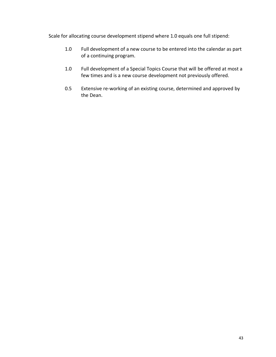Scale for allocating course development stipend where 1.0 equals one full stipend:

- 1.0 Full development of a new course to be entered into the calendar as part of a continuing program.
- 1.0 Full development of a Special Topics Course that will be offered at most a few times and is a new course development not previously offered.
- 0.5 Extensive re-working of an existing course, determined and approved by the Dean.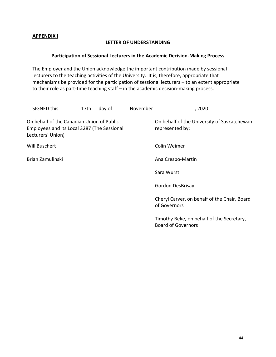#### <span id="page-43-1"></span><span id="page-43-0"></span>**APPENDIX I**

## **LETTER OF UNDERSTANDING**

## **Participation of Sessional Lecturers in the Academic Decision-Making Process**

The Employer and the Union acknowledge the important contribution made by sessional lecturers to the teaching activities of the University. It is, therefore, appropriate that mechanisms be provided for the participation of sessional lecturers – to an extent appropriate to their role as part-time teaching staff – in the academic decision-making process.

| SIGNED this                                                                                                   | 17th day of | November | 2020                                                                   |
|---------------------------------------------------------------------------------------------------------------|-------------|----------|------------------------------------------------------------------------|
| On behalf of the Canadian Union of Public<br>Employees and its Local 3287 (The Sessional<br>Lecturers' Union) |             |          | On behalf of the University of Saskatchewan<br>represented by:         |
| Will Buschert                                                                                                 |             |          | Colin Weimer                                                           |
| Brian Zamulinski                                                                                              |             |          | Ana Crespo-Martin                                                      |
|                                                                                                               |             |          | Sara Wurst                                                             |
|                                                                                                               |             |          | <b>Gordon DesBrisay</b>                                                |
|                                                                                                               |             |          | Cheryl Carver, on behalf of the Chair, Board<br>of Governors           |
|                                                                                                               |             |          | Timothy Beke, on behalf of the Secretary,<br><b>Board of Governors</b> |